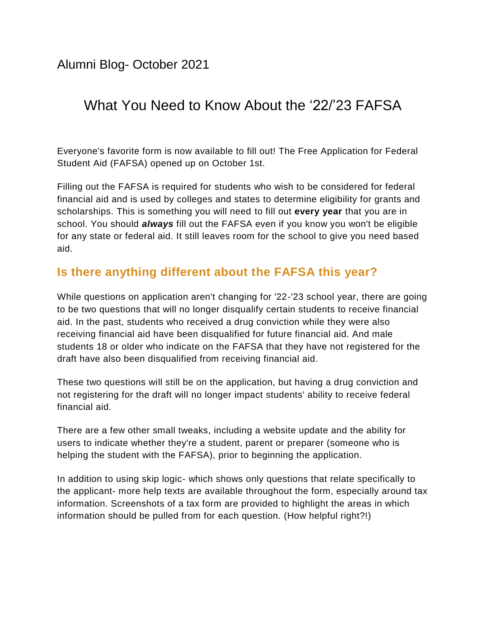Alumni Blog- October 2021

# What You Need to Know About the '22/'23 FAFSA

Everyone's favorite form is now available to fill out! The Free Application for Federal Student Aid (FAFSA) opened up on October 1st.

Filling out the FAFSA is required for students who wish to be considered for federal financial aid and is used by colleges and states to determine eligibility for grants and scholarships. This is something you will need to fill out **every year** that you are in school. You should *always* fill out the FAFSA even if you know you won't be eligible for any state or federal aid. It still leaves room for the school to give you need based aid.

## **Is there anything different about the FAFSA this year?**

While questions on application aren't changing for '22-'23 school year, there are going to be two questions that will no longer disqualify certain students to receive financial aid. In the past, students who received a drug conviction while they were also receiving financial aid have been disqualified for future financial aid. And male students 18 or older who indicate on the FAFSA that they have not registered for the draft have also been disqualified from receiving financial aid.

These two questions will still be on the application, but having a drug conviction and not registering for the draft will no longer impact students' ability to receive federal financial aid.

There are a few other small tweaks, including a website update and the ability for users to indicate whether they're a student, parent or preparer (someone who is helping the student with the FAFSA), prior to beginning the application.

In addition to using skip logic- which shows only questions that relate specifically to the applicant- more help texts are available throughout the form, especially around tax information. Screenshots of a tax form are provided to highlight the areas in which information should be pulled from for each question. (How helpful right?!)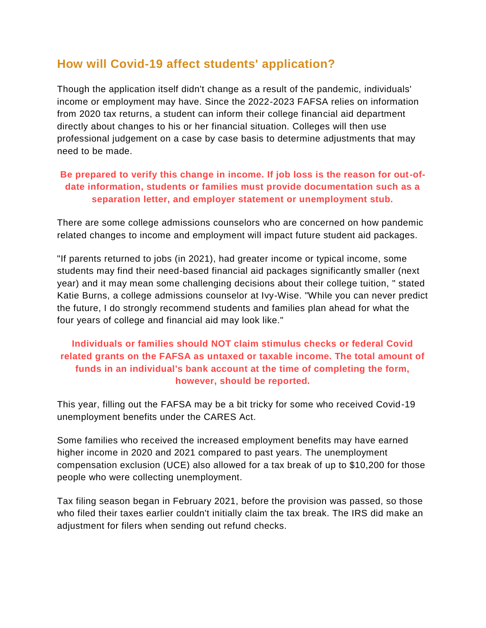### **How will Covid-19 affect students' application?**

Though the application itself didn't change as a result of the pandemic, individuals' income or employment may have. Since the 2022-2023 FAFSA relies on information from 2020 tax returns, a student can inform their college financial aid department directly about changes to his or her financial situation. Colleges will then use professional judgement on a case by case basis to determine adjustments that may need to be made.

#### **Be prepared to verify this change in income. If job loss is the reason for out-ofdate information, students or families must provide documentation such as a separation letter, and employer statement or unemployment stub.**

There are some college admissions counselors who are concerned on how pandemic related changes to income and employment will impact future student aid packages.

"If parents returned to jobs (in 2021), had greater income or typical income, some students may find their need-based financial aid packages significantly smaller (next year) and it may mean some challenging decisions about their college tuition, " stated Katie Burns, a college admissions counselor at Ivy-Wise. "While you can never predict the future, I do strongly recommend students and families plan ahead for what the four years of college and financial aid may look like."

### **Individuals or families should NOT claim stimulus checks or federal Covid related grants on the FAFSA as untaxed or taxable income. The total amount of funds in an individual's bank account at the time of completing the form, however, should be reported.**

This year, filling out the FAFSA may be a bit tricky for some who received Covid-19 unemployment benefits under the CARES Act.

Some families who received the increased employment benefits may have earned higher income in 2020 and 2021 compared to past years. The unemployment compensation exclusion (UCE) also allowed for a tax break of up to \$10,200 for those people who were collecting unemployment.

Tax filing season began in February 2021, before the provision was passed, so those who filed their taxes earlier couldn't initially claim the tax break. The IRS did make an adjustment for filers when sending out refund checks.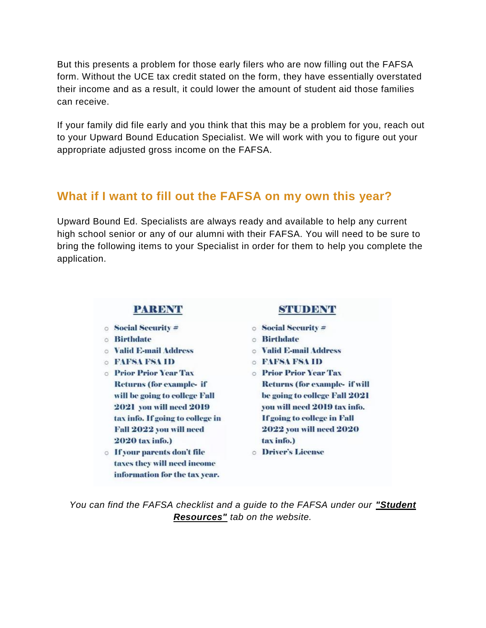But this presents a problem for those early filers who are now filling out the FAFSA form. Without the UCE tax credit stated on the form, they have essentially overstated their income and as a result, it could lower the amount of student aid those families can receive.

If your family did file early and you think that this may be a problem for you, reach out to your Upward Bound Education Specialist. We will work with you to figure out your appropriate adjusted gross income on the FAFSA.

### **What if I want to fill out the FAFSA on my own this year?**

Upward Bound Ed. Specialists are always ready and available to help any current high school senior or any of our alumni with their FAFSA. You will need to be sure to bring the following items to your Specialist in order for them to help you complete the application.

#### **PARENT**

- $\circ$  Social Security  $\neq$
- **Birthdate**
- **Nalid E-mail Address**
- **O FAFSA FSA ID**
- **O** Prior Prior Year Tax Returns (for example- if will be going to college Fall **2021** you will need 2019 tax info. If going to college in Fall 2022 you will need 2020 tax info.)
- **o** If your parents don't file taxes they will need income information for the tax year.

#### STUDENT

- $\circ$  Social Security  $\neq$
- **Birthdate**
- **O** Valid E-mail Address
- **O FAFSA FSA ID**
- **O** Prior Prior Year Tax **Returns (for example- if will** be going to college Fall 2021 vou will need 2019 tax info. If going to college in Fall **2022 you will need 2020** tax info.)
- **o** Driver's License

*You can find the FAFSA checklist and a guide to the FAFSA under our "Student Resources" tab on the website.*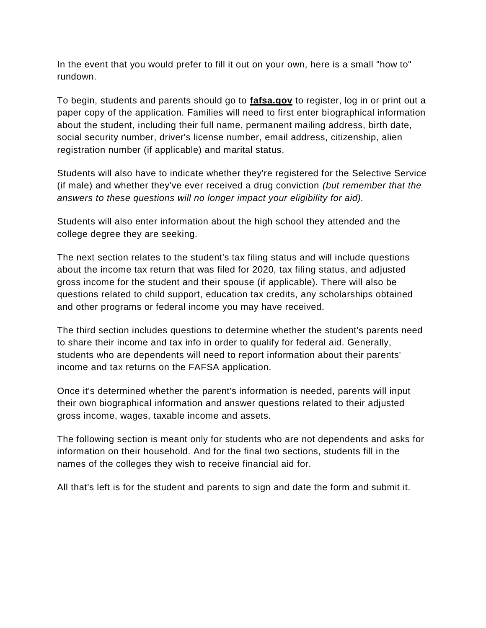In the event that you would prefer to fill it out on your own, here is a small "how to" rundown.

To begin, students and parents should go to **fafsa.gov** to register, log in or print out a paper copy of the application. Families will need to first enter biographical information about the student, including their full name, permanent mailing address, birth date, social security number, driver's license number, email address, citizenship, alien registration number (if applicable) and marital status.

Students will also have to indicate whether they're registered for the Selective Service (if male) and whether they've ever received a drug conviction *(but remember that the answers to these questions will no longer impact your eligibility for aid).* 

Students will also enter information about the high school they attended and the college degree they are seeking.

The next section relates to the student's tax filing status and will include questions about the income tax return that was filed for 2020, tax filing status, and adjusted gross income for the student and their spouse (if applicable). There will also be questions related to child support, education tax credits, any scholarships obtained and other programs or federal income you may have received.

The third section includes questions to determine whether the student's parents need to share their income and tax info in order to qualify for federal aid. Generally, students who are dependents will need to report information about their parents' income and tax returns on the FAFSA application.

Once it's determined whether the parent's information is needed, parents will input their own biographical information and answer questions related to their adjusted gross income, wages, taxable income and assets.

The following section is meant only for students who are not dependents and asks for information on their household. And for the final two sections, students fill in the names of the colleges they wish to receive financial aid for.

All that's left is for the student and parents to sign and date the form and submit it.